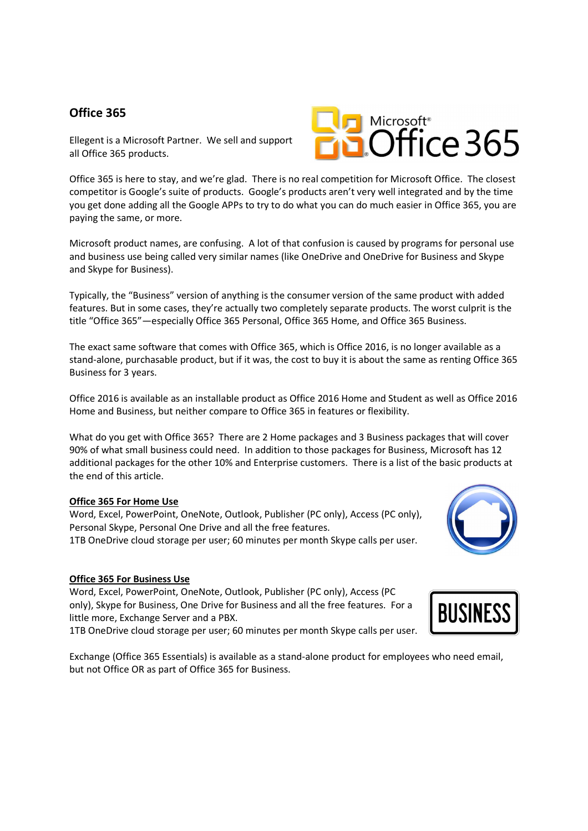## **Office 365**

Ellegent is a Microsoft Partner. We sell and support all Office 365 products.

Office 365 is here to stay, and we're glad. There is no real competition for Microsoft Office. The closest competitor is Google's suite of products. Google's products aren't very well integrated and by the time you get done adding all the Google APPs to try to do what you can do much easier in Office 365, you are paying the same, or more.

Microsoft product names, are confusing. A lot of that confusion is caused by programs for personal use and business use being called very similar names (like OneDrive and OneDrive for Business and Skype and Skype for Business).

Typically, the "Business" version of anything is the consumer version of the same product with added features. But in some cases, they're actually two completely separate products. The worst culprit is the title "Office 365"—especially Office 365 Personal, Office 365 Home, and Office 365 Business.

The exact same software that comes with Office 365, which is Office 2016, is no longer available as a stand-alone, purchasable product, but if it was, the cost to buy it is about the same as renting Office 365 Business for 3 years.

Office 2016 is available as an installable product as Office 2016 Home and Student as well as Office 2016 Home and Business, but neither compare to Office 365 in features or flexibility.

What do you get with Office 365? There are 2 Home packages and 3 Business packages that will cover 90% of what small business could need. In addition to those packages for Business, Microsoft has 12 additional packages for the other 10% and Enterprise customers. There is a list of the basic products at the end of this article.

## **Office 365 For Home Use**

Word, Excel, PowerPoint, OneNote, Outlook, Publisher (PC only), Access (PC only), Personal Skype, Personal One Drive and all the free features. 1TB OneDrive cloud storage per user; 60 minutes per month Skype calls per user.

## **Office 365 For Business Use**

Word, Excel, PowerPoint, OneNote, Outlook, Publisher (PC only), Access (PC only), Skype for Business, One Drive for Business and all the free features. For a little more, Exchange Server and a PBX.

1TB OneDrive cloud storage per user; 60 minutes per month Skype calls per user.





Exchange (Office 365 Essentials) is available as a stand-alone product for employees who need email, but not Office OR as part of Office 365 for Business.